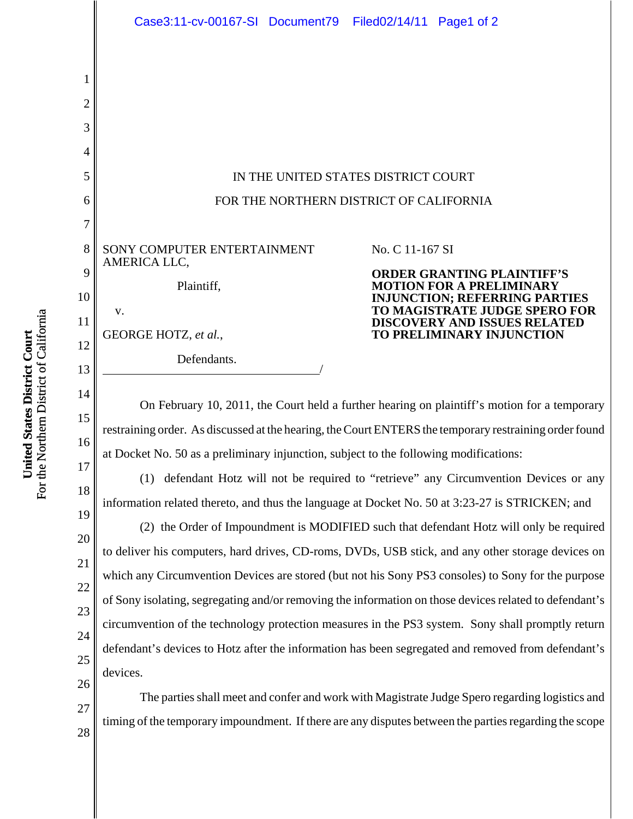|                               | Case3:11-cv-00167-SI Document79<br>Filed02/14/11 Page1 of 2                                                                                                                                                                                                   |
|-------------------------------|---------------------------------------------------------------------------------------------------------------------------------------------------------------------------------------------------------------------------------------------------------------|
| 1<br>$\overline{2}$<br>3<br>4 |                                                                                                                                                                                                                                                               |
| 5                             | IN THE UNITED STATES DISTRICT COURT                                                                                                                                                                                                                           |
| 6                             | FOR THE NORTHERN DISTRICT OF CALIFORNIA                                                                                                                                                                                                                       |
| 7                             |                                                                                                                                                                                                                                                               |
| 8                             | SONY COMPUTER ENTERTAINMENT<br>No. C 11-167 SI<br>AMERICA LLC,                                                                                                                                                                                                |
| 9<br>10<br>11                 | <b>ORDER GRANTING PLAINTIFF'S</b><br>Plaintiff,<br><b>MOTION FOR A PRELIMINARY</b><br><b>INJUNCTION; REFERRING PARTIES</b><br>TO MAGISTRATE JUDGE SPERO FOR<br>v.<br><b>DISCOVERY AND ISSUES RELATED</b><br>GEORGE HOTZ, et al.,<br>TO PRELIMINARY INJUNCTION |
| 12<br>13                      | Defendants.                                                                                                                                                                                                                                                   |
| 14<br>15<br>16                | On February 10, 2011, the Court held a further hearing on plaintiff's motion for a temporary<br>restraining order. As discussed at the hearing, the Court ENTERS the temporary restraining order found                                                        |
| 17<br>18                      | at Docket No. 50 as a preliminary injunction, subject to the following modifications:<br>defendant Hotz will not be required to "retrieve" any Circumvention Devices or any<br>(1)                                                                            |
| 19                            | information related thereto, and thus the language at Docket No. 50 at 3:23-27 is STRICKEN; and                                                                                                                                                               |
| 20                            | (2) the Order of Impoundment is MODIFIED such that defendant Hotz will only be required                                                                                                                                                                       |
|                               | to deliver his computers, hard drives, CD-roms, DVDs, USB stick, and any other storage devices on                                                                                                                                                             |

For the Northern District of California For the Northern District of California United States District Court **United States District Court**

27

28

18 19 20 21 22 23 24 25 26 which any Circumvention Devices are stored (but not his Sony PS3 consoles) to Sony for the purpose of Sony isolating, segregating and/or removing the information on those devices related to defendant's circumvention of the technology protection measures in the PS3 system. Sony shall promptly return defendant's devices to Hotz after the information has been segregated and removed from defendant's devices.

The parties shall meet and confer and work with Magistrate Judge Spero regarding logistics and timing of the temporary impoundment. If there are any disputes between the parties regarding the scope